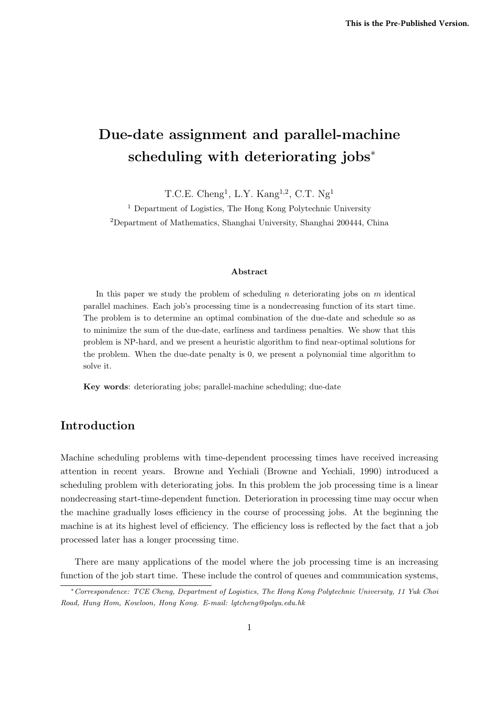# Due-date assignment and parallel-machine scheduling with deteriorating jobs<sup>∗</sup>

T.C.E. Cheng<sup>1</sup>, L.Y. Kang<sup>1,2</sup>, C.T. Ng<sup>1</sup>

<sup>1</sup> Department of Logistics, The Hong Kong Polytechnic University <sup>2</sup>Department of Mathematics, Shanghai University, Shanghai 200444, China

#### Abstract

In this paper we study the problem of scheduling  $n$  deteriorating jobs on  $m$  identical parallel machines. Each job's processing time is a nondecreasing function of its start time. The problem is to determine an optimal combination of the due-date and schedule so as to minimize the sum of the due-date, earliness and tardiness penalties. We show that this problem is NP-hard, and we present a heuristic algorithm to find near-optimal solutions for the problem. When the due-date penalty is 0, we present a polynomial time algorithm to solve it.

Key words: deteriorating jobs; parallel-machine scheduling; due-date

# Introduction

Machine scheduling problems with time-dependent processing times have received increasing attention in recent years. Browne and Yechiali (Browne and Yechiali, 1990) introduced a scheduling problem with deteriorating jobs. In this problem the job processing time is a linear nondecreasing start-time-dependent function. Deterioration in processing time may occur when the machine gradually loses efficiency in the course of processing jobs. At the beginning the machine is at its highest level of efficiency. The efficiency loss is reflected by the fact that a job processed later has a longer processing time.

There are many applications of the model where the job processing time is an increasing function of the job start time. These include the control of queues and communication systems,

<sup>∗</sup>Correspondence: TCE Cheng, Department of Logistics, The Hong Kong Polytechnic University, 11 Yuk Choi Road, Hung Hom, Kowloon, Hong Kong. E-mail: lgtcheng@polyu.edu.hk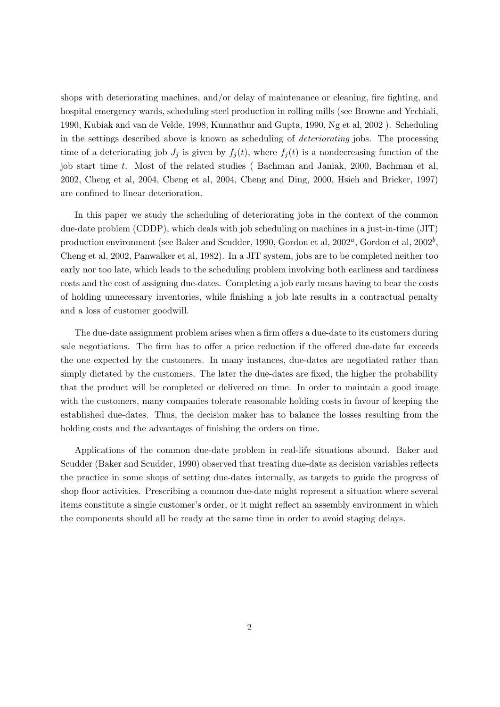shops with deteriorating machines, and/or delay of maintenance or cleaning, fire fighting, and hospital emergency wards, scheduling steel production in rolling mills (see Browne and Yechiali, 1990, Kubiak and van de Velde, 1998, Kunnathur and Gupta, 1990, Ng et al, 2002 ). Scheduling in the settings described above is known as scheduling of deteriorating jobs. The processing time of a deteriorating job  $J_j$  is given by  $f_j(t)$ , where  $f_j(t)$  is a nondecreasing function of the job start time t. Most of the related studies ( Bachman and Janiak, 2000, Bachman et al, 2002, Cheng et al, 2004, Cheng et al, 2004, Cheng and Ding, 2000, Hsieh and Bricker, 1997) are confined to linear deterioration.

In this paper we study the scheduling of deteriorating jobs in the context of the common due-date problem (CDDP), which deals with job scheduling on machines in a just-in-time (JIT) production environment (see Baker and Scudder, 1990, Gordon et al,  $2002^a$ , Gordon et al,  $2002^b$ , Cheng et al, 2002, Panwalker et al, 1982). In a JIT system, jobs are to be completed neither too early nor too late, which leads to the scheduling problem involving both earliness and tardiness costs and the cost of assigning due-dates. Completing a job early means having to bear the costs of holding unnecessary inventories, while finishing a job late results in a contractual penalty and a loss of customer goodwill.

The due-date assignment problem arises when a firm offers a due-date to its customers during sale negotiations. The firm has to offer a price reduction if the offered due-date far exceeds the one expected by the customers. In many instances, due-dates are negotiated rather than simply dictated by the customers. The later the due-dates are fixed, the higher the probability that the product will be completed or delivered on time. In order to maintain a good image with the customers, many companies tolerate reasonable holding costs in favour of keeping the established due-dates. Thus, the decision maker has to balance the losses resulting from the holding costs and the advantages of finishing the orders on time.

Applications of the common due-date problem in real-life situations abound. Baker and Scudder (Baker and Scudder, 1990) observed that treating due-date as decision variables reflects the practice in some shops of setting due-dates internally, as targets to guide the progress of shop floor activities. Prescribing a common due-date might represent a situation where several items constitute a single customer's order, or it might reflect an assembly environment in which the components should all be ready at the same time in order to avoid staging delays.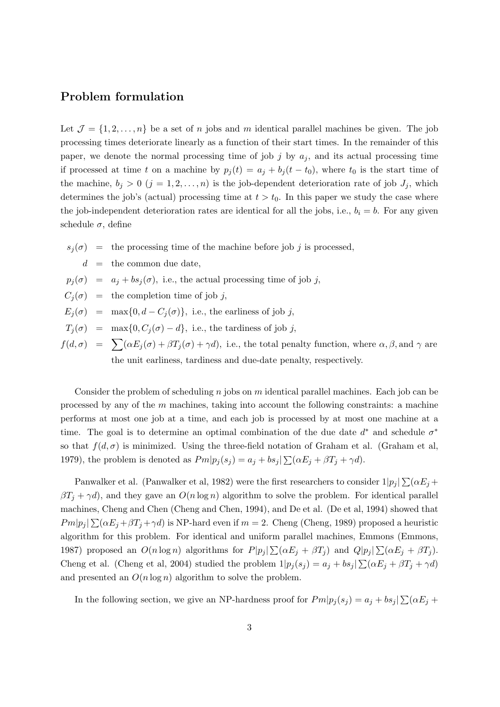### Problem formulation

Let  $\mathcal{J} = \{1, 2, ..., n\}$  be a set of n jobs and m identical parallel machines be given. The job processing times deteriorate linearly as a function of their start times. In the remainder of this paper, we denote the normal processing time of job j by  $a_j$ , and its actual processing time if processed at time t on a machine by  $p_i(t) = a_i + b_i(t - t_0)$ , where  $t_0$  is the start time of the machine,  $b_j > 0$   $(j = 1, 2, ..., n)$  is the job-dependent deterioration rate of job  $J_j$ , which determines the job's (actual) processing time at  $t > t_0$ . In this paper we study the case where the job-independent deterioration rates are identical for all the jobs, i.e.,  $b_i = b$ . For any given schedule  $\sigma$ , define

 $s_i(\sigma)$  = the processing time of the machine before job j is processed,  $d =$  the common due date,  $p_i(\sigma) = a_i + bs_i(\sigma)$ , i.e., the actual processing time of job j.

 $C_i(\sigma)$  = the completion time of job j,

 $E_i(\sigma) = \max\{0, d - C_i(\sigma)\}\$ , i.e., the earliness of job j,

 $T_i(\sigma) = \max\{0, C_i(\sigma) - d\}, \text{ i.e., the tardiness of job } j,$ 

 $f(d, \sigma) = \sum (\alpha E_j(\sigma) + \beta T_j(\sigma) + \gamma d)$ , i.e., the total penalty function, where  $\alpha, \beta$ , and  $\gamma$  are the unit earliness, tardiness and due-date penalty, respectively.

Consider the problem of scheduling n jobs on m identical parallel machines. Each job can be processed by any of the m machines, taking into account the following constraints: a machine performs at most one job at a time, and each job is processed by at most one machine at a time. The goal is to determine an optimal combination of the due date  $d^*$  and schedule  $\sigma^*$ so that  $f(d, \sigma)$  is minimized. Using the three-field notation of Graham et al. (Graham et al, 1979), the problem is denoted as  $Pm|p_j(s_j) = a_j + bs_j \geq (\alpha E_j + \beta T_j + \gamma d)$ .

Panwalker et al. (Panwalker et al, 1982) were the first researchers to consider  $1|p_j| \sum (\alpha E_j +$  $\beta T_i + \gamma d$ , and they gave an  $O(n \log n)$  algorithm to solve the problem. For identical parallel machines, Cheng and Chen (Cheng and Chen, 1994), and De et al. (De et al, 1994) showed that  $Pm|p_j| \sum (\alpha E_j + \beta T_j + \gamma d)$  is NP-hard even if  $m = 2$ . Cheng (Cheng, 1989) proposed a heuristic algorithm for this problem. For identical and uniform parallel machines, Emmons (Emmons, 1987) proposed an  $O(n \log n)$  algorithms for  $P|p_j| \sum (\alpha E_j + \beta T_j)$  and  $Q|p_j| \sum (\alpha E_j + \beta T_j)$ . Cheng et al. (Cheng et al. 2004) studied the problem  $1|p_j(s_j) = a_j + bs_j|\sum(\alpha E_j + \beta T_j + \gamma d)$ and presented an  $O(n \log n)$  algorithm to solve the problem.

In the following section, we give an NP-hardness proof for  $Pm|p_j(s_j) = a_j + bs_j \geq (\alpha E_j + \alpha E_j)$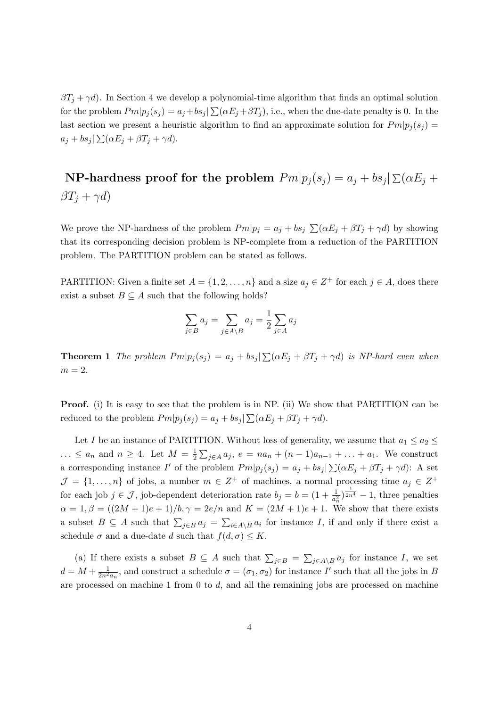$\beta T_i + \gamma d$ ). In Section 4 we develop a polynomial-time algorithm that finds an optimal solution for the problem  $Pm|p_j(s_j) = a_j + bs_j \mid \sum(\alpha E_j + \beta T_j)$ , i.e., when the due-date penalty is 0. In the last section we present a heuristic algorithm to find an approximate solution for  $Pm|p_i(s_i) =$  $a_j + bs_j \geq (\alpha E_j + \beta T_j + \gamma d).$ 

 $\textbf{NP-hardness proof for the problem } P m | p_j(s_j) = a_j + b s_j | \sum (\alpha E_j + \alpha E_j) | p_j(s_j) |$  $\beta T_i + \gamma d$ 

We prove the NP-hardness of the problem  $Pm|p_j = a_j + bs_j| \sum (\alpha E_j + \beta T_j + \gamma d)$  by showing that its corresponding decision problem is NP-complete from a reduction of the PARTITION problem. The PARTITION problem can be stated as follows.

PARTITION: Given a finite set  $A = \{1, 2, ..., n\}$  and a size  $a_j \in Z^+$  for each  $j \in A$ , does there exist a subset  $B \subseteq A$  such that the following holds?

$$
\sum_{j \in B} a_j = \sum_{j \in A \setminus B} a_j = \frac{1}{2} \sum_{j \in A} a_j
$$

**Theorem 1** The problem  $Pm|p_j(s_j) = a_j + bs_j \geq ( \alpha E_j + \beta T_j + \gamma d )$  is NP-hard even when  $m=2$ .

Proof. (i) It is easy to see that the problem is in NP. (ii) We show that PARTITION can be reduced to the problem  $Pm|p_j(s_j) = a_j + bs_j \geq (\alpha E_j + \beta T_j + \gamma d).$ 

Let I be an instance of PARTITION. Without loss of generality, we assume that  $a_1 \le a_2 \le$  $\ldots \leq a_n$  and  $n \geq 4$ . Let  $M = \frac{1}{2}$  $\frac{1}{2} \sum_{j \in A} a_j$ ,  $e = na_n + (n-1)a_{n-1} + ... + a_1$ . We construct a corresponding instance I' of the problem  $Pm|p_j(s_j) = a_j + bs_j \geq (\alpha E_j + \beta T_j + \gamma d)$ : A set  $\mathcal{J} = \{1, \ldots, n\}$  of jobs, a number  $m \in \mathbb{Z}^+$  of machines, a normal processing time  $a_j \in \mathbb{Z}^+$ for each job  $j \in \mathcal{J}$ , job-dependent deterioration rate  $b_j = b = (1 + \frac{1}{a_n^2})^{\frac{1}{2n^4}} - 1$ , three penalties  $\alpha = 1, \beta = ((2M + 1)e + 1)/b, \gamma = 2e/n$  and  $K = (2M + 1)e + 1$ . We show that there exists a subset  $B \subseteq A$  such that  $\sum_{j \in B} a_j = \sum_{i \in A \setminus B} a_i$  for instance I, if and only if there exist a schedule  $\sigma$  and a due-date d such that  $f(d, \sigma) \leq K$ .

(a) If there exists a subset  $B \subseteq A$  such that  $\sum_{j \in B} = \sum_{j \in A \setminus B} a_j$  for instance I, we set  $d = M + \frac{1}{2n^2 a_n}$ , and construct a schedule  $\sigma = (\sigma_1, \sigma_2)$  for instance I' such that all the jobs in B are processed on machine 1 from 0 to  $d$ , and all the remaining jobs are processed on machine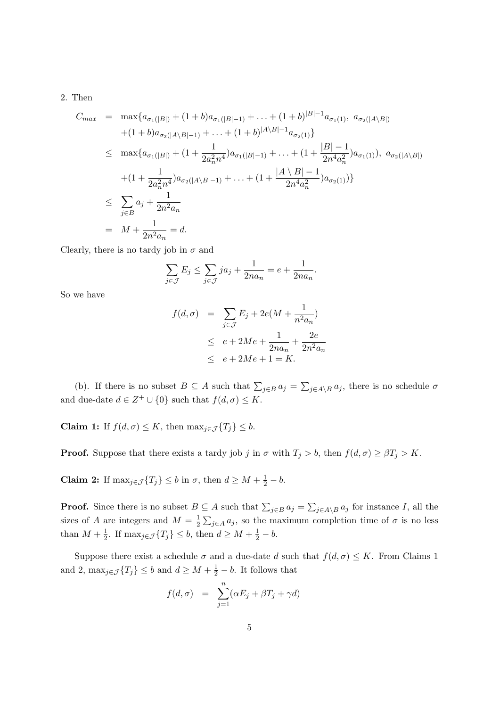2. Then

$$
C_{max} = \max\{a_{\sigma_1(|B|)} + (1+b)a_{\sigma_1(|B|-1)} + \dots + (1+b)^{|B|-1}a_{\sigma_1(1)}, a_{\sigma_2(|A\setminus B|)} + (1+b)a_{\sigma_2(|A\setminus B|-1)} + \dots + (1+b)^{|A\setminus B|-1}a_{\sigma_2(1)}\}\leq \max\{a_{\sigma_1(|B|)} + (1+\frac{1}{2a_n^2n^4})a_{\sigma_1(|B|-1)} + \dots + (1+\frac{|B|-1}{2n^4a_n^2})a_{\sigma_1(1)}), a_{\sigma_2(|A\setminus B|)} + (1+\frac{1}{2a_n^2n^4})a_{\sigma_2(|A\setminus B|-1)} + \dots + (1+\frac{|A\setminus B|-1}{2n^4a_n^2})a_{\sigma_2(1)})\}\leq \sum_{j\in B} a_j + \frac{1}{2n^2a_n}= M + \frac{1}{2n^2a_n} = d.
$$

Clearly, there is no tardy job in  $\sigma$  and

$$
\sum_{j \in \mathcal{J}} E_j \le \sum_{j \in \mathcal{J}} j a_j + \frac{1}{2 n a_n} = e + \frac{1}{2 n a_n}.
$$

So we have

$$
f(d, \sigma) = \sum_{j \in \mathcal{J}} E_j + 2e(M + \frac{1}{n^2 a_n})
$$
  
\n
$$
\leq e + 2Me + \frac{1}{2n a_n} + \frac{2e}{2n^2 a_n}
$$
  
\n
$$
\leq e + 2Me + 1 = K.
$$

(b). If there is no subset  $B \subseteq A$  such that  $\sum_{j \in B} a_j = \sum_{j \in A \setminus B} a_j$ , there is no schedule  $\sigma$ and due-date  $d \in Z^+ \cup \{0\}$  such that  $f(d, \sigma) \leq K$ .

**Claim 1:** If  $f(d, \sigma) \leq K$ , then  $\max_{j \in \mathcal{J}} \{T_j\} \leq b$ .

**Proof.** Suppose that there exists a tardy job j in  $\sigma$  with  $T_j > b$ , then  $f(d, \sigma) \geq \beta T_j > K$ .

**Claim 2:** If  $\max_{j \in \mathcal{J}} \{T_j\} \leq b$  in  $\sigma$ , then  $d \geq M + \frac{1}{2} - b$ .

**Proof.** Since there is no subset  $B \subseteq A$  such that  $\sum_{j \in B} a_j = \sum_{j \in A \setminus B} a_j$  for instance I, all the sizes of A are integers and  $M=\frac{1}{2}$  $\frac{1}{2} \sum_{j \in A} a_j$ , so the maximum completion time of  $\sigma$  is no less than  $M+\frac{1}{2}$  $\frac{1}{2}$ . If  $\max_{j \in \mathcal{J}} \{T_j\} \leq b$ , then  $d \geq M + \frac{1}{2} - b$ .

Suppose there exist a schedule  $\sigma$  and a due-date d such that  $f(d, \sigma) \leq K$ . From Claims 1 and 2,  $\max_{j \in \mathcal{J}} \{T_j\} \leq b$  and  $d \geq M + \frac{1}{2} - b$ . It follows that

$$
f(d, \sigma) = \sum_{j=1}^{n} (\alpha E_j + \beta T_j + \gamma d)
$$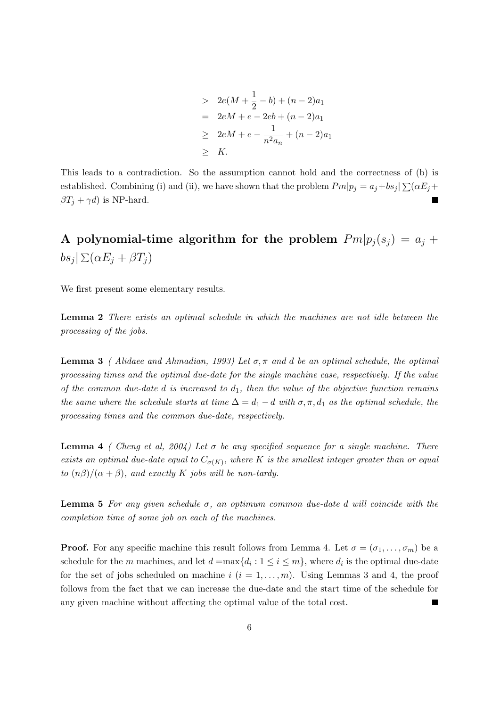> 
$$
2e(M + \frac{1}{2} - b) + (n - 2)a_1
$$
  
\n=  $2eM + e - 2eb + (n - 2)a_1$   
\n $\geq 2eM + e - \frac{1}{n^2 a_n} + (n - 2)a_1$   
\n $\geq K.$ 

This leads to a contradiction. So the assumption cannot hold and the correctness of (b) is established. Combining (i) and (ii), we have shown that the problem  $Pm|p_j = a_j + bs_j \geq (\alpha E_j + \alpha E_j)$  $\beta T_j + \gamma d$ ) is NP-hard.

A polynomial-time algorithm for the problem  $Pm|p_j(s_j) = a_j +$  $bs_j \vert \Sigma(\alpha E_j + \beta T_j)$ 

We first present some elementary results.

Lemma 2 There exists an optimal schedule in which the machines are not idle between the processing of the jobs.

**Lemma 3** ( Alidaee and Ahmadian, 1993) Let  $\sigma$ ,  $\pi$  and d be an optimal schedule, the optimal processing times and the optimal due-date for the single machine case, respectively. If the value of the common due-date  $d$  is increased to  $d_1$ , then the value of the objective function remains the same where the schedule starts at time  $\Delta = d_1 - d$  with  $\sigma, \pi, d_1$  as the optimal schedule, the processing times and the common due-date, respectively.

**Lemma 4** ( Cheng et al, 2004) Let  $\sigma$  be any specified sequence for a single machine. There exists an optimal due-date equal to  $C_{\sigma(K)}$ , where K is the smallest integer greater than or equal to  $(n\beta)/(\alpha + \beta)$ , and exactly K jobs will be non-tardy.

**Lemma 5** For any given schedule  $\sigma$ , an optimum common due-date d will coincide with the completion time of some job on each of the machines.

**Proof.** For any specific machine this result follows from Lemma 4. Let  $\sigma = (\sigma_1, \ldots, \sigma_m)$  be a schedule for the m machines, and let  $d = max{d_i : 1 \le i \le m}$ , where  $d_i$  is the optimal due-date for the set of jobs scheduled on machine i  $(i = 1, \ldots, m)$ . Using Lemmas 3 and 4, the proof follows from the fact that we can increase the due-date and the start time of the schedule for any given machine without affecting the optimal value of the total cost. П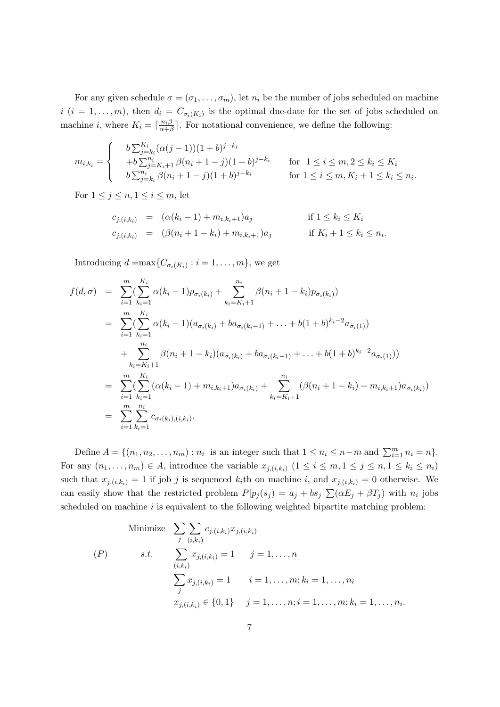For any given schedule  $\sigma = (\sigma_1, \ldots, \sigma_m)$ , let  $n_i$  be the number of jobs scheduled on machine  $i$   $(i = 1, \ldots, m)$ , then  $d_i = C_{\sigma_i(K_i)}$  is the optimal due-date for the set of jobs scheduled on machine *i*, where  $K_i = \lceil \frac{n_i \beta}{\alpha + \beta} \rceil$ . For notational convenience, we define the following:

$$
m_{i,k_i} = \begin{cases} \n\begin{cases} \n\begin{aligned} \n\begin{aligned} \n\begin{aligned} \n\begin{aligned} \n\begin{aligned} \n\begin{aligned} \n\begin{aligned} \n\begin{aligned} \n\begin{aligned} \n\end{aligned} \n\end{aligned} \\
\end{aligned} \\
\end{aligned} \\
\begin{aligned} \n\begin{aligned} \n\begin{aligned} \n\begin{aligned} \n\begin{aligned} \n\begin{aligned} \n\begin{aligned} \n\begin{aligned} \n\end{aligned} \n\end{aligned} \\
\end{aligned} \\
\begin{aligned} \n\begin{aligned} \n\begin{aligned} \n\begin{aligned} \n\begin{aligned} \n\begin{aligned} \n\begin{aligned} \n\begin{aligned} \n\begin{aligned} \n\end{aligned} \n\end{aligned} \\
\end{aligned} \\
\end{aligned} \\
\end{aligned} \\
\begin{aligned} \n\begin{aligned} \n\begin{aligned} \n\begin{aligned} \n\begin{aligned} \n\begin{aligned} \n\begin{aligned} \n\begin{aligned} \n\begin{aligned} \n\end{aligned} \n\end{aligned} \\
\end{aligned} \\
\end{aligned} \\
\begin{aligned} \n\begin{aligned} \n\begin{aligned} \n\begin{aligned} \n\begin{aligned} \n\begin{aligned} \n\begin{aligned} \n\begin{aligned} \n\begin{aligned} \n\end{aligned} \n\end{aligned} \\
\end{aligned} \\
\end{aligned} \\
\begin{aligned} \n\begin{aligned} \n\begin{aligned} \n\begin{aligned} \n\begin{aligned} \n\begin{aligned} \n\begin{aligned} \n\begin{aligned} \n\begin{aligned} \n\end{aligned} \\
\end{aligned} \\
\end{aligned} \\
\end{aligned} \\
\end{aligned} \\
\begin{aligned} \n\begin{aligned} \n\begin{aligned} \n\begin{aligned} \n\begin{aligned} \n\begin{aligned} \n\begin{aligned} \n\begin{aligned} \n\begin{aligned} \n\begin{aligned} \n\begin{aligned} \n\begin{aligned} \n\begin{aligned} \n\end{aligned} \\
\end{aligned} \\
\end{aligned} \\
\end{aligned} \\
\begin{aligned} \n\begin{aligned} \n\begin{aligned} \n\begin{aligned} \n\begin{aligned} \n\begin{aligned} \n\begin{aligned} \n\begin{aligned} \n\begin{aligned} \n\begin{aligned} \n\begin{aligned} \n\begin{aligned} \n\begin{aligned} \n\begin{aligned} \
$$

For  $1 \leq j \leq n, 1 \leq i \leq m$ , let

$$
c_{j,(i,k_i)} = (\alpha(k_i - 1) + m_{i,k_i+1})a_j \qquad \text{if } 1 \le k_i \le K_i
$$
  

$$
c_{j,(i,k_i)} = (\beta(n_i + 1 - k_i) + m_{i,k_i+1})a_j \qquad \text{if } K_i + 1 \le k_i \le n_i.
$$

Introducing  $d = \max\{C_{\sigma_i(K_i)} : i = 1, \ldots, m\}$ , we get

$$
f(d, \sigma) = \sum_{i=1}^{m} \left( \sum_{k_i=1}^{K_i} \alpha(k_i - 1) p_{\sigma_i(k_i)} + \sum_{k_i=K_i+1}^{n_i} \beta(n_i + 1 - k_i) p_{\sigma_i(k_i)} \right)
$$
  
\n
$$
= \sum_{i=1}^{m} \left( \sum_{k_i=1}^{K_i} \alpha(k_i - 1) (a_{\sigma_i(k_i)} + ba_{\sigma_i(k_i-1)} + \dots + b(1 + b)^{k_i-2} a_{\sigma_i(1)}) + \sum_{k_i=K_i+1}^{n_i} \beta(n_i + 1 - k_i) (a_{\sigma_i(k_i)} + ba_{\sigma_i(k_i-1)} + \dots + b(1 + b)^{k_i-2} a_{\sigma_i(1)}))
$$
  
\n
$$
= \sum_{i=1}^{m} \left( \sum_{k_i=1}^{K_i} (\alpha(k_i - 1) + m_{i,k_i+1}) a_{\sigma_i(k_i)} + \sum_{k_i=K_i+1}^{n_i} (\beta(n_i + 1 - k_i) + m_{i,k_i+1}) a_{\sigma_i(k_i)}) \right)
$$
  
\n
$$
= \sum_{i=1}^{m} \sum_{k_i=1}^{n_i} c_{\sigma_i(k_i), (i,k_i)}.
$$

Define  $A = \{(n_1, n_2, \ldots, n_m) : n_i$  is an integer such that  $1 \leq n_i \leq n-m$  and  $\sum_{i=1}^{m} n_i = n\}$ . For any  $(n_1, \ldots, n_m) \in A$ , introduce the variable  $x_{j,(i,k_i)}$   $(1 \leq i \leq m, 1 \leq j \leq n, 1 \leq k_i \leq n_i)$ such that  $x_{j,(i,k_i)} = 1$  if job j is sequenced  $k_i$ th on machine i, and  $x_{j,(i,k_i)} = 0$  otherwise. We can easily show that the restricted problem  $P|p_j(s_j) = a_j + bs_j| \sum (\alpha E_j + \beta T_j)$  with  $n_i$  jobs scheduled on machine  $i$  is equivalent to the following weighted bipartite matching problem:

Minimize 
$$
\sum_{j} \sum_{(i,k_i)} c_{j,(i,k_i)} x_{j,(i,k_i)}
$$
  
(P) s.t. 
$$
\sum_{(i,k_i)} x_{j,(i,k_i)} = 1 \quad j = 1,...,n
$$

$$
\sum_{j} x_{j,(i,k_i)} = 1 \quad i = 1,...,m; k_i = 1,...,n_i
$$

$$
x_{j,(i,k_i)} \in \{0,1\} \quad j = 1,...,n; i = 1,...,m; k_i = 1,...,n_i
$$

.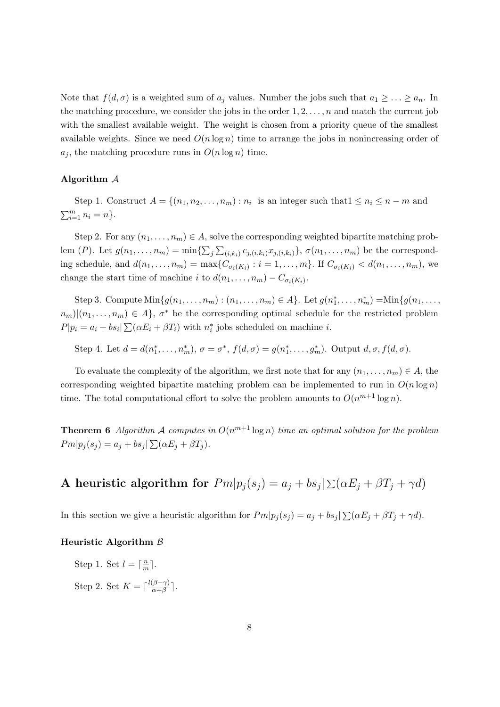Note that  $f(d, \sigma)$  is a weighted sum of  $a_j$  values. Number the jobs such that  $a_1 \geq \ldots \geq a_n$ . In the matching procedure, we consider the jobs in the order  $1, 2, \ldots, n$  and match the current job with the smallest available weight. The weight is chosen from a priority queue of the smallest available weights. Since we need  $O(n \log n)$  time to arrange the jobs in nonincreasing order of  $a_i$ , the matching procedure runs in  $O(n \log n)$  time.

#### Algorithm A

Step 1. Construct  $A = \{(n_1, n_2, \ldots, n_m) : n_i$  is an integer such that  $1 \leq n_i \leq n-m$  and  $\sum_{i=1}^{m} n_i = n$ .

Step 2. For any  $(n_1, \ldots, n_m) \in A$ , solve the corresponding weighted bipartite matching problem  $(P)$ . Let  $g(n_1,\ldots,n_m) = \min\{\sum_j \sum_{(i,k_i)} c_{j,(i,k_i)} x_{j,(i,k_i)}\}, \sigma(n_1,\ldots,n_m)$  be the corresponding schedule, and  $d(n_1,\ldots,n_m) = \max\{C_{\sigma_i(K_i)} : i = 1,\ldots,m\}$ . If  $C_{\sigma_i(K_i)} < d(n_1,\ldots,n_m)$ , we change the start time of machine i to  $d(n_1, \ldots, n_m) - C_{\sigma_i(K_i)}$ .

Step 3. Compute  $\text{Min}\{g(n_1, ..., n_m) : (n_1, ..., n_m) \in A\}$ . Let  $g(n_1^*, ..., n_m^*) = \text{Min}\{g(n_1, ..., n_m)\}$  $n_m$ | $(n_1, \ldots, n_m) \in A$ ,  $\sigma^*$  be the corresponding optimal schedule for the restricted problem  $P|p_i = a_i + bs_i| \sum (\alpha E_i + \beta T_i)$  with  $n_i^*$  jobs scheduled on machine *i*.

Step 4. Let  $d = d(n_1^*, \ldots, n_m^*), \sigma = \sigma^*, f(d, \sigma) = g(n_1^*, \ldots, n_m^*).$  Output  $d, \sigma, f(d, \sigma)$ .

To evaluate the complexity of the algorithm, we first note that for any  $(n_1, \ldots, n_m) \in A$ , the corresponding weighted bipartite matching problem can be implemented to run in  $O(n \log n)$ time. The total computational effort to solve the problem amounts to  $O(n^{m+1} \log n)$ .

**Theorem 6** Algorithm A computes in  $O(n^{m+1} \log n)$  time an optimal solution for the problem  $Pm|p_j(s_j) = a_j + bs_j \mid \sum(\alpha E_j + \beta T_j).$ 

# A heuristic algorithm for  $Pm[p_j(s_j) = a_j + bs_j] \sum (\alpha E_j + \beta T_j + \gamma d)$

In this section we give a heuristic algorithm for  $Pm|p_j(s_j) = a_j + bs_j \geq (\alpha E_j + \beta T_j + \gamma d)$ .

#### Heuristic Algorithm  $\beta$

Step 1. Set  $l = \lceil \frac{n}{m} \rceil$  $\frac{n}{m}$ . Step 2. Set  $K = \lceil \frac{l(\beta - \gamma)}{\alpha + \beta} \rceil$  $\frac{\left(\beta-\gamma\right)}{\alpha+\beta}$ .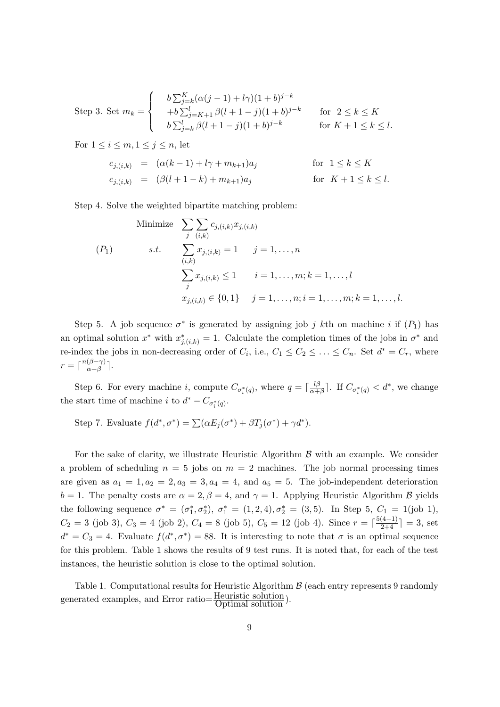Step 3. Set 
$$
m_k = \begin{cases} b \sum_{j=k}^{K} (\alpha(j-1) + l\gamma)(1+b)^{j-k} \\ + b \sum_{j=K+1}^{l} \beta(l+1-j)(1+b)^{j-k} & \text{for } 2 \le k \le K \\ b \sum_{j=k}^{l} \beta(l+1-j)(1+b)^{j-k} & \text{for } K+1 \le k \le l. \end{cases}
$$

For  $1 \leq i \leq m, 1 \leq j \leq n$ , let

$$
c_{j,(i,k)} = (\alpha(k-1) + l\gamma + m_{k+1})a_j
$$
 for  $1 \le k \le K$   

$$
c_{j,(i,k)} = (\beta(l+1-k) + m_{k+1})a_j
$$
 for  $K+1 \le k \le l$ .

Step 4. Solve the weighted bipartite matching problem:

Minimize 
$$
\sum_{j} \sum_{(i,k)} c_{j,(i,k)} x_{j,(i,k)}
$$
  
\n
$$
(P_1) \quad s.t. \quad \sum_{(i,k)} x_{j,(i,k)} = 1 \quad j = 1, ..., n
$$
\n
$$
\sum_{j} x_{j,(i,k)} \le 1 \quad i = 1, ..., m; k = 1, ..., l
$$
\n
$$
x_{j,(i,k)} \in \{0, 1\} \quad j = 1, ..., n; i = 1, ..., m; k = 1, ..., l.
$$

Step 5. A job sequence  $\sigma^*$  is generated by assigning job j kth on machine i if  $(P_1)$  has an optimal solution  $x^*$  with  $x^*_{j,(i,k)} = 1$ . Calculate the completion times of the jobs in  $\sigma^*$  and re-index the jobs in non-decreasing order of  $C_i$ , i.e.,  $C_1 \leq C_2 \leq \ldots \leq C_n$ . Set  $d^* = C_r$ , where  $r = \lceil \frac{n(\beta - \gamma)}{\alpha + \beta} \rceil$  $\frac{(\beta-\gamma)}{\alpha+\beta}$ ].

Step 6. For every machine *i*, compute  $C_{\sigma_i^*(q)}$ , where  $q = \lceil \frac{l\beta}{\alpha + 1} \rceil$  $\frac{l\beta}{\alpha+\beta}$ . If  $C_{\sigma_i^*(q)} < d^*$ , we change the start time of machine *i* to  $d^* - C_{\sigma_i^*(q)}$ .

Step 7. Evaluate  $f(d^*, \sigma^*) = \sum (\alpha E_j(\sigma^*) + \beta T_j(\sigma^*) + \gamma d^*).$ 

For the sake of clarity, we illustrate Heuristic Algorithm  $\beta$  with an example. We consider a problem of scheduling  $n = 5$  jobs on  $m = 2$  machines. The job normal processing times are given as  $a_1 = 1, a_2 = 2, a_3 = 3, a_4 = 4$ , and  $a_5 = 5$ . The job-independent deterioration  $b = 1$ . The penalty costs are  $\alpha = 2, \beta = 4$ , and  $\gamma = 1$ . Applying Heuristic Algorithm B yields the following sequence  $\sigma^* = (\sigma_1^*, \sigma_2^*), \sigma_1^* = (1, 2, 4), \sigma_2^* = (3, 5)$ . In Step 5,  $C_1 = 1$ (job 1),  $C_2 = 3$  (job 3),  $C_3 = 4$  (job 2),  $C_4 = 8$  (job 5),  $C_5 = 12$  (job 4). Since  $r = \lceil \frac{5(4-1)}{2+4} \rceil = 3$ , set  $d^* = C_3 = 4$ . Evaluate  $f(d^*, \sigma^*) = 88$ . It is interesting to note that  $\sigma$  is an optimal sequence for this problem. Table 1 shows the results of 9 test runs. It is noted that, for each of the test instances, the heuristic solution is close to the optimal solution.

Table 1. Computational results for Heuristic Algorithm  $\beta$  (each entry represents 9 randomly generated examples, and Error ratio= $\frac{\text{Heuristic solution}}{\text{Optimal solution}}$ .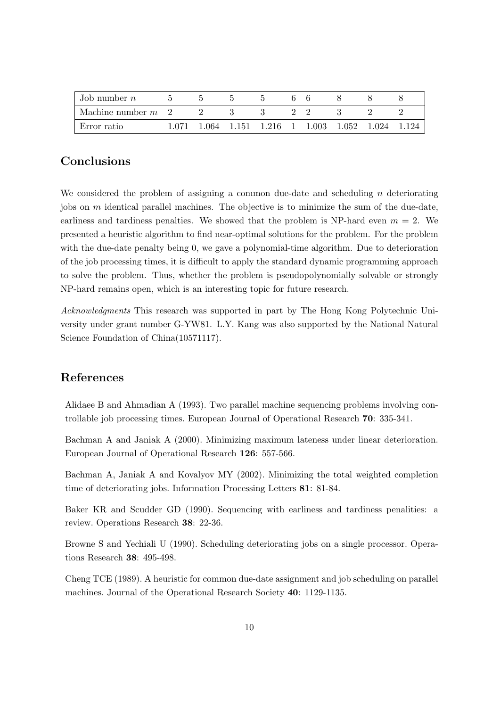| Job number $n$      |  |                                 |  |       |       |
|---------------------|--|---------------------------------|--|-------|-------|
| Machine number $m2$ |  |                                 |  |       |       |
| Error ratio         |  | 1.064 1.151 1.216 1 1.003 1.052 |  | 1.024 | 1.124 |

# Conclusions

We considered the problem of assigning a common due-date and scheduling  $n$  deteriorating jobs on m identical parallel machines. The objective is to minimize the sum of the due-date, earliness and tardiness penalties. We showed that the problem is NP-hard even  $m = 2$ . We presented a heuristic algorithm to find near-optimal solutions for the problem. For the problem with the due-date penalty being 0, we gave a polynomial-time algorithm. Due to deterioration of the job processing times, it is difficult to apply the standard dynamic programming approach to solve the problem. Thus, whether the problem is pseudopolynomially solvable or strongly NP-hard remains open, which is an interesting topic for future research.

Acknowledgments This research was supported in part by The Hong Kong Polytechnic University under grant number G-YW81. L.Y. Kang was also supported by the National Natural Science Foundation of China(10571117).

# References

Alidaee B and Ahmadian A (1993). Two parallel machine sequencing problems involving controllable job processing times. European Journal of Operational Research 70: 335-341.

Bachman A and Janiak A (2000). Minimizing maximum lateness under linear deterioration. European Journal of Operational Research 126: 557-566.

Bachman A, Janiak A and Kovalyov MY (2002). Minimizing the total weighted completion time of deteriorating jobs. Information Processing Letters 81: 81-84.

Baker KR and Scudder GD (1990). Sequencing with earliness and tardiness penalities: a review. Operations Research 38: 22-36.

Browne S and Yechiali U (1990). Scheduling deteriorating jobs on a single processor. Operations Research 38: 495-498.

Cheng TCE (1989). A heuristic for common due-date assignment and job scheduling on parallel machines. Journal of the Operational Research Society 40: 1129-1135.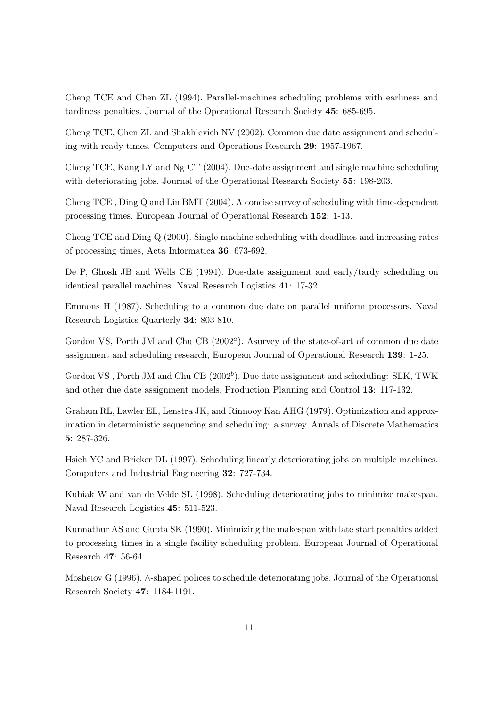Cheng TCE and Chen ZL (1994). Parallel-machines scheduling problems with earliness and tardiness penalties. Journal of the Operational Research Society 45: 685-695.

Cheng TCE, Chen ZL and Shakhlevich NV (2002). Common due date assignment and scheduling with ready times. Computers and Operations Research 29: 1957-1967.

Cheng TCE, Kang LY and Ng CT (2004). Due-date assignment and single machine scheduling with deteriorating jobs. Journal of the Operational Research Society **55**: 198-203.

Cheng TCE , Ding Q and Lin BMT (2004). A concise survey of scheduling with time-dependent processing times. European Journal of Operational Research 152: 1-13.

Cheng TCE and Ding Q (2000). Single machine scheduling with deadlines and increasing rates of processing times, Acta Informatica 36, 673-692.

De P, Ghosh JB and Wells CE (1994). Due-date assignment and early/tardy scheduling on identical parallel machines. Naval Research Logistics 41: 17-32.

Emmons H (1987). Scheduling to a common due date on parallel uniform processors. Naval Research Logistics Quarterly 34: 803-810.

Gordon VS, Porth JM and Chu CB (2002<sup>a</sup>). Asurvey of the state-of-art of common due date assignment and scheduling research, European Journal of Operational Research 139: 1-25.

Gordon VS, Porth JM and Chu CB  $(2002^b)$ . Due date assignment and scheduling: SLK, TWK and other due date assignment models. Production Planning and Control 13: 117-132.

Graham RL, Lawler EL, Lenstra JK, and Rinnooy Kan AHG (1979). Optimization and approximation in deterministic sequencing and scheduling: a survey. Annals of Discrete Mathematics 5: 287-326.

Hsieh YC and Bricker DL (1997). Scheduling linearly deteriorating jobs on multiple machines. Computers and Industrial Engineering 32: 727-734.

Kubiak W and van de Velde SL (1998). Scheduling deteriorating jobs to minimize makespan. Naval Research Logistics 45: 511-523.

Kunnathur AS and Gupta SK (1990). Minimizing the makespan with late start penalties added to processing times in a single facility scheduling problem. European Journal of Operational Research 47: 56-64.

Mosheiov G (1996). ∧-shaped polices to schedule deteriorating jobs. Journal of the Operational Research Society 47: 1184-1191.